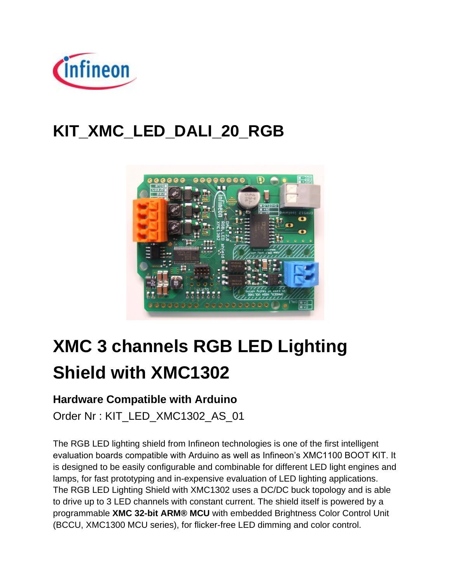

# **KIT\_XMC\_LED\_DALI\_20\_RGB**



# **XMC 3 channels RGB LED Lighting Shield with XMC1302**

### **Hardware Compatible with Arduino**

Order Nr : KIT\_LED\_XMC1302\_AS\_01

The RGB LED lighting shield from Infineon technologies is one of the first intelligent evaluation boards compatible with Arduino as well as Infineon's XMC1100 BOOT KIT. It is designed to be easily configurable and combinable for different LED light engines and lamps, for fast prototyping and in-expensive evaluation of LED lighting applications. The RGB LED Lighting Shield with XMC1302 uses a DC/DC buck topology and is able to drive up to 3 LED channels with constant current. The shield itself is powered by a programmable **[XMC 32-bit ARM® MCU](https://www.infineon.com/cms/en/product/microcontroller/32-bit-industrial-microcontroller-based-on-arm-registered-cortex-tm-m/channel.html?channel=db3a30433c1a8752013c3e221b9d004f)** with embedded Brightness Color Control Unit (BCCU, XMC1300 MCU series), for flicker-free LED dimming and color control.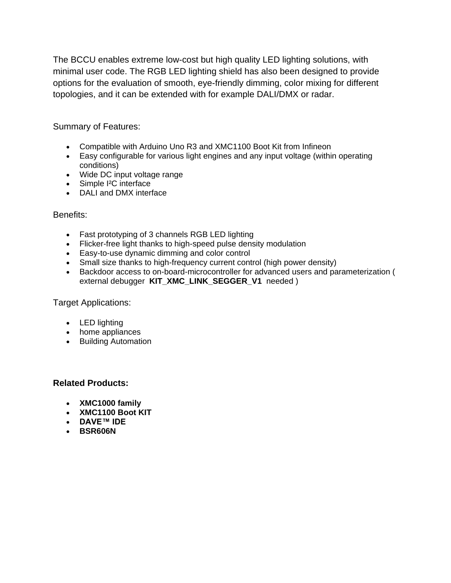The BCCU enables extreme low-cost but high quality LED lighting solutions, with minimal user code. The RGB LED lighting shield has also been designed to provide options for the evaluation of smooth, eye-friendly dimming, color mixing for different topologies, and it can be extended with for example DALI/DMX or radar.

Summary of Features:

- Compatible with Arduino Uno R3 and XMC1100 Boot Kit from Infineon
- Easy configurable for various light engines and any input voltage (within operating conditions)
- Wide DC input voltage range
- Simple I²C interface
- DALI and DMX interface

#### Benefits:

- Fast prototyping of 3 channels RGB LED lighting
- Flicker-free light thanks to high-speed pulse density modulation
- Easy-to-use dynamic dimming and color control
- Small size thanks to high-frequency current control (high power density)
- Backdoor access to on-board-microcontroller for advanced users and parameterization ( external debugger **[KIT\\_XMC\\_LINK\\_SEGGER\\_V1](https://www.infineon.com/cms/en/product/evaluation-boards/kit_xmc_link_segger_v1/)** needed )

Target Applications:

- LED lighting
- home appliances
- Building Automation

#### **Related Products:**

- **[XMC1000 family](https://www.infineon.com/cms/en/product/microcontroller/32-bit-industrial-microcontroller-based-on-arm-registered-cortex-tm-m/32-bit-xmc1000-industrial-microcontroller-arm-registered-cortex-tm-m0/channel.html?channel=db3a30433c1a8752013c1aa35a6a0029)**
- **[XMC1100 Boot KIT](https://www.infineon.com/cms/en/product/evaluation-boards/KIT_XMC11_BOOT_001/productType.html?productType=db3a30443b360d0e013b8f5163c46f62)**
- **[DAVE™ IDE](https://edit.infineon.com/cms/en/product/microcontroller/32-bit-industrial-microcontroller-based-on-arm-registered-cortex-tm-m/32-bit-xmc1000-industrial-microcontroller-arm-registered-cortex-tm-m0/dave-tm-%2013-free-development-platform-for-code-generation/channel.html?channel=5546d46145f1f3a4014619e925171bcc)**
- **[BSR606N](https://www.infineon.com/cms/en/product/power/mosfet/power-mosfet/n-channel-small-signal-20v-800v/BSR606N/productType.html?productType=db3a30443e78f08a013e7adfa1bc05a6)**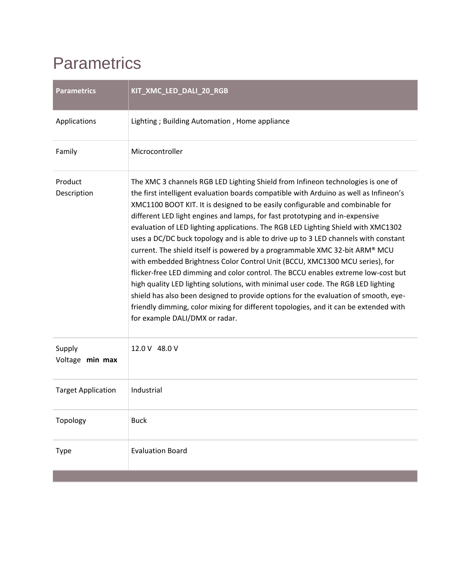## **Parametrics**

| <b>Parametrics</b>        | KIT_XMC_LED_DALI_20_RGB                                                                                                                                                                                                                                                                                                                                                                                                                                                                                                                                                                                                                                                                                                                                                                                                                                                                                                                                                                                                                                                       |
|---------------------------|-------------------------------------------------------------------------------------------------------------------------------------------------------------------------------------------------------------------------------------------------------------------------------------------------------------------------------------------------------------------------------------------------------------------------------------------------------------------------------------------------------------------------------------------------------------------------------------------------------------------------------------------------------------------------------------------------------------------------------------------------------------------------------------------------------------------------------------------------------------------------------------------------------------------------------------------------------------------------------------------------------------------------------------------------------------------------------|
| Applications              | Lighting; Building Automation, Home appliance                                                                                                                                                                                                                                                                                                                                                                                                                                                                                                                                                                                                                                                                                                                                                                                                                                                                                                                                                                                                                                 |
| Family                    | Microcontroller                                                                                                                                                                                                                                                                                                                                                                                                                                                                                                                                                                                                                                                                                                                                                                                                                                                                                                                                                                                                                                                               |
| Product<br>Description    | The XMC 3 channels RGB LED Lighting Shield from Infineon technologies is one of<br>the first intelligent evaluation boards compatible with Arduino as well as Infineon's<br>XMC1100 BOOT KIT. It is designed to be easily configurable and combinable for<br>different LED light engines and lamps, for fast prototyping and in-expensive<br>evaluation of LED lighting applications. The RGB LED Lighting Shield with XMC1302<br>uses a DC/DC buck topology and is able to drive up to 3 LED channels with constant<br>current. The shield itself is powered by a programmable XMC 32-bit ARM® MCU<br>with embedded Brightness Color Control Unit (BCCU, XMC1300 MCU series), for<br>flicker-free LED dimming and color control. The BCCU enables extreme low-cost but<br>high quality LED lighting solutions, with minimal user code. The RGB LED lighting<br>shield has also been designed to provide options for the evaluation of smooth, eye-<br>friendly dimming, color mixing for different topologies, and it can be extended with<br>for example DALI/DMX or radar. |
| Supply<br>Voltage min max | 12.0 V 48.0 V                                                                                                                                                                                                                                                                                                                                                                                                                                                                                                                                                                                                                                                                                                                                                                                                                                                                                                                                                                                                                                                                 |
| <b>Target Application</b> | Industrial                                                                                                                                                                                                                                                                                                                                                                                                                                                                                                                                                                                                                                                                                                                                                                                                                                                                                                                                                                                                                                                                    |
| Topology                  | <b>Buck</b>                                                                                                                                                                                                                                                                                                                                                                                                                                                                                                                                                                                                                                                                                                                                                                                                                                                                                                                                                                                                                                                                   |
| Type                      | <b>Evaluation Board</b>                                                                                                                                                                                                                                                                                                                                                                                                                                                                                                                                                                                                                                                                                                                                                                                                                                                                                                                                                                                                                                                       |